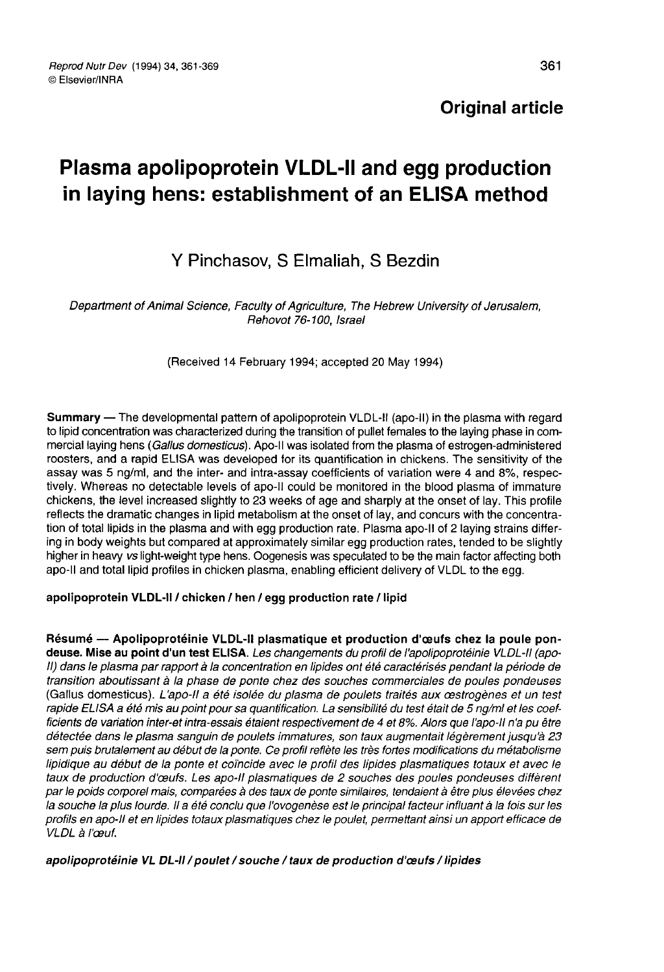## **Original article**

# Plasma apolipoprotein VLDL-II and egg production in laying hens: establishment of an ELISA method

## Y Pinchasov, S Elmaliah, S Bezdin

Department of Animal Science, Faculty of Agriculture, The Hebrew University of Jerusalem, Rehovot 76-100, Israel

(Received 14 February 1994; accepted 20 May 1994)

Summary ― The developmental pattern of apolipoprotein VLDL-11 (apo-11) in the plasma with regard to lipid concentration was characterized during the transition of pullet females to the laying phase in commercial laying hens (Gallus domesticus). Apo-II was isolated from the plasma of estrogen-administered roosters, and a rapid ELISA was developed for its quantification in chickens. The sensitivity of the assay was 5 ng/ml, and the inter- and intra-assay coefficients of variation were 4 and 8%, respectively. Whereas no detectable levels of apo-11 could be monitored in the blood plasma of immature chickens, the level increased slightly to 23 weeks of age and sharply at the onset of lay. This profile reflects the dramatic changes in lipid metabolism at the onset of lay, and concurs with the concentration of total lipids in the plasma and with egg production rate. Plasma apo-II of 2 laying strains differing in body weights but compared at approximately similar egg production rates, tended to be slightly higher in heavy vs light-weight type hens. Oogenesis was speculated to be the main factor affecting both apo-II and total lipid profiles in chicken plasma, enabling efficient delivery of VLDL to the egg.

## apolipoprotein VLDL-11 / chicken / hen / egg production rate / lipid

Résumé ― Apolipoprotéinie VLDL-11 plasmatique et production d'oeufs chez la poule pondeuse. Mise au point d'un test ELISA. Les changements du profil de l'apolipoprotéinie VLDL-II (apo-II) dans le plasma par rapport à la concentration en lipides ont été caractérisés pendant la période de transition aboutissant à la phase de ponte chez des souches commerciales de poules pondeuses (Gallus domesticus). L'apo-II a été isolée du plasma de poulets traités aux œstrogènes et un test rapide ELISA a été mis au point pour sa quantification. La sensibilité du test était de 5 ng/ml et les coefficients de variation inter-et intra-essais étaient respectivement de 4 et 8%. Alors que l'apo-il n'a pu être détectée dans le plasma sanguin de poulets immatures, son taux augmentait légèrement jusqu'à 23 sem puis brutalement au début de la ponte. Ce profil reflète les très fortes modifications du métabolisme lipidique au début de la ponte et coïncide avec le profil des lipides plasmatiques totaux et avec le taux de production d'œufs. Les apo-il plasmatiques de 2 souches des poules pondeuses diffèrent par le poids corporel mais, comparées à des taux de ponte similaires, tendaient à être plus élevées chez la souche la plus lourde. Il a été conclu que l'ovogenèse est le principal facteur influant à la fois sur les profils en apo-il et en lipides totaux plasmatiques chez le poulet, permettant ainsi un apport efficace de VLDL à l'œuf.

#### apolipoprotéinie VL DL-II / poulet / souche / taux de production d'œufs / lipides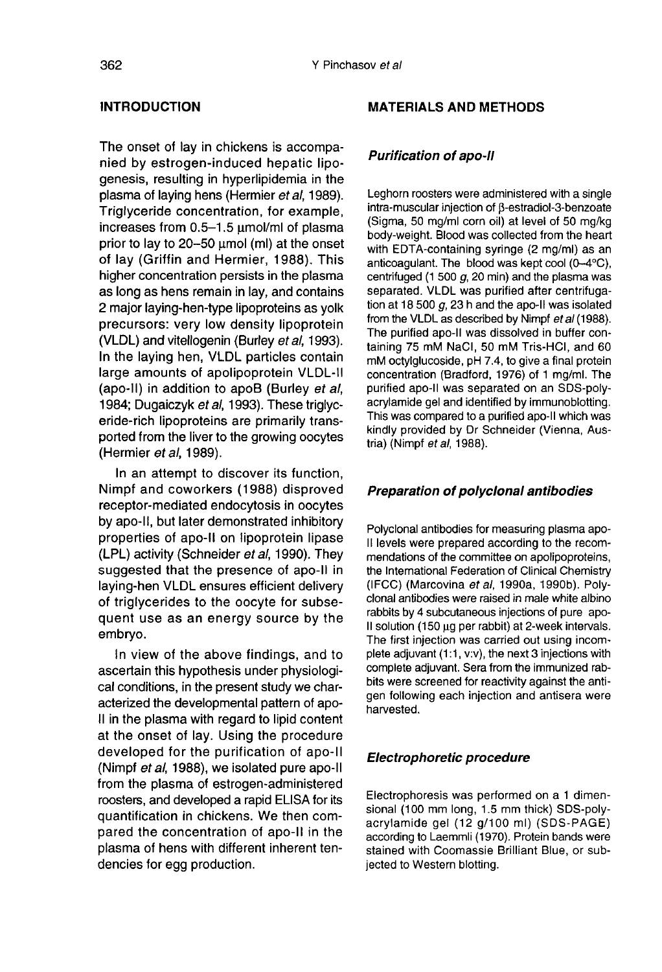## **INTRODUCTION**

The onset of lay in chickens is accompanied by estrogen-induced hepatic lipogenesis, resulting in hyperlipidemia in the plasma of laying hens (Hermier et al, 1989). Triglyceride concentration, for example, increases from  $0.5-1.5$   $\mu$ mol/ml of plasma prior to lay to 20–50 µmol (ml) at the onset of lay (Griffin and Hermier, 1988). This higher concentration persists in the plasma as long as hens remain in lay, and contains 2 major laying-hen-type lipoproteins as yolk precursors: very low density lipoprotein (VLDL) and vitellogenin (Burley et al, 1993). In the laying hen, VLDL particles contain large amounts of apolipoprotein VLDL-11 (apo-II) in addition to apoB (Burley et al, 1984; Dugaiczyk et al, 1993). These triglyceride-rich lipoproteins are primarily transported from the liver to the growing oocytes (Hermier et al, 1989).

In an attempt to discover its function, Nimpf and coworkers (1988) disproved receptor-mediated endocytosis in oocytes by apo-II, but later demonstrated inhibitory properties of apo-II on lipoprotein lipase (LPL) activity (Schneider et al, 1990). They suggested that the presence of apo-11 in laying-hen VLDL ensures efficient delivery of triglycerides to the oocyte for subsequent use as an energy source by the embryo.

In view of the above findings, and to ascertain this hypothesis under physiological conditions, in the present study we characterized the developmental pattern of apo-II in the plasma with regard to lipid content at the onset of lay. Using the procedure developed for the purification of apo-11 (Nimpf et al, 1988), we isolated pure apo-11 from the plasma of estrogen-administered roosters, and developed a rapid ELISA for its quantification in chickens. We then compared the concentration of apo-II in the plasma of hens with different inherent tendencies for egg production.

#### MATERIALS AND METHODS

#### Purification of apo-II

Leghorn roosters were administered with a single intra-muscular injection of B-estradiol-3-benzoate (Sigma, 50 mg/ml corn oil) at level of 50 mg/kg body-weight. Blood was collected from the heart with EDTA-containing syringe (2 mg/ml) as an anticoagulant. The blood was kept cool (0-4°C), centrifuged (1 500  $g$ , 20 min) and the plasma was separated. VLDL was purified after centrifugation at 18 500  $g$ , 23 h and the apo-II was isolated from the VLDL as described by Nimpf et al (1988). The purified apo-II was dissolved in buffer containing 75 mM NaCI, 50 mM Tris-HCI, and 60 mM octylglucoside, pH 7.4, to give a final protein concentration (Bradford, 1976) of 1 mg/ml. The purified apo-il was separated on an SDS-polyacrylamide gel and identified by immunoblotting. This was compared to a purified apo-II which was kindly provided by Dr Schneider (Vienna, Austria) (Nimpf et al, 1988).

## Preparation of polyclonal antibodies

Polyclonal antibodies for measuring plasma apo-II levels were prepared according to the recommendations of the committee on apolipoproteins, the Intemational Federation of Clinical Chemistry (IFCC) (Marcovina et al, 1990a, 1990b). Polyclonal antibodies were raised in male white albino rabbits by 4 subcutaneous injections of pure apo-II solution (150 µg per rabbit) at 2-week intervals. The first injection was carried out using incomplete adjuvant (1:1, v:v), the next 3 injections with complete adjuvant. Sera from the immunized rabbits were screened for reactivity against the antigen following each injection and antisera were harvested.

## Electrophoretic procedure

Electrophoresis was performed on a 1 dimensional (100 mm long, 1.5 mm thick) SDS-polyacrylamide gel (12 g/100 ml) (SDS-PAGE) according to Laemmli (1970). Protein bands were stained with Coomassie Brilliant Blue, or subjected to Western blotting.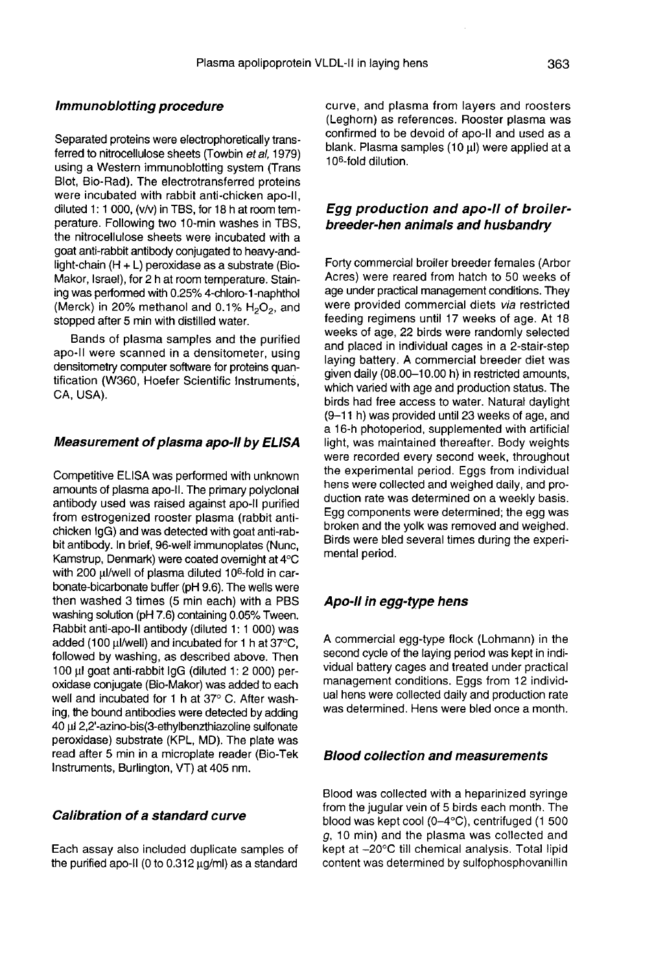#### Immunoblotting procedure

Separated proteins were electrophoretically transferred to nitrocellulose sheets (Towbin et al. 1979) using a Western immunoblotting system (Trans Blot, Bio-Rad). The electrotransferred proteins were incubated with rabbit anti-chicken apo-11, diluted 1: 1 000, (v/v) in TBS, for 18 h at room temperature. Following two 10-min washes in TBS, the nitrocellulose sheets were incubated with a goat anti-rabbit antibody conjugated to heavy-andlight-chain (H + L) peroxidase as a substrate (Bio-Makor, Israel), for 2 h at room temperature. Staining was performed with 0.25% 4-chloro-1-naphthol (Merck) in 20% methanol and 0.1%  $H_2O_2$ , and stopped after 5 min with distilled water.

Bands of plasma samples and the purified apo-II were scanned in a densitometer, using densitometry computer software for proteins quantification (W360, Hoefer Scientific Instruments, CA, USA).

#### Measurement of plasma apo-II by ELISA

Competitive ELISA was performed with unknown amounts of plasma apo-II. The primary polyclonal antibody used was raised against apo-il purified from estrogenized rooster plasma (rabbit antichicken IgG) and was detected with goat anti-rabbit antibody. In brief, 96-well immunoplates (Nunc, Kamstrup, Denmark) were coated overnight at 4°C with 200 ul/well of plasma diluted 10<sup>6</sup>-fold in carbonate-bicarbonate buffer (pH 9.6). The wells were then washed 3 times (5 min each) with a PBS washing solution (pH 7.6) containing 0.05% Tween.<br>Rabbit anti-apo-II antibody (diluted 1: 1 000) was<br>added (100 µl/well) and incubated for 1 h at 37°C,<br>followed by washing, as described above. Then Rabbit anti-apo-II antibody (diluted 1: 1 000) was added (100 µl/well) and incubated for 1 h at 37°C. followed by washing, as described above. Then 100 ul goat anti-rabbit lgG (diluted 1: 2 000) peroxidase conjugate (Bio-Makor) was added to each well and incubated for 1 h at 37° C. After washing, the bound antibodies were detected by adding 40 ti) 2,2'-azino-bis(3-ethylbenzthiazoline sulfonate peroxidase) substrate (KPL, MD). The plate was read after 5 min in a microplate reader (Bio-Tek Instruments, Burlington, VT) at 405 nm.

#### Calibration of a standard curve

Each assay also included duplicate samples of the purified apo-II (0 to 0.312  $\mu$ g/ml) as a standard curve, and plasma from layers and roosters (Leghorn) as references. Rooster plasma was confirmed to be devoid of apo-II and used as a blank. Plasma samples (10 µl) were applied at a (Leghorn) as re<br>confirmed to be<br>blank. Plasma s<br>10<sup>6</sup>-fold dilution.

## Egg production and apo-II of broilerbreeder-hen animals and husbandry

Forty commercial broiler breeder females (Arbor Acres) were reared from hatch to 50 weeks of age under practical management conditions. They were provided commercial diets via restricted feeding regimens until 17 weeks of age. At 18 weeks of age, 22 birds were randomly selected and placed in individual cages in a 2-stair-step laying battery. A commercial breeder diet was given daily (08.00-10.00 h) in restricted amounts, which varied with age and production status. The birds had free access to water. Natural daylight (9-11 h) was provided until 23 weeks of age, and a 16-h photoperiod, supplemented with artificial light, was maintained thereafter. Body weights were recorded every second week, throughout the experimental period. Eggs from individual hens were collected and weighed daily, and production rate was determined on a weekly basis. Egg components were determined; the egg was broken and the yolk was removed and weighed. Birds were bled several times during the experimental period.

## Apo-II in egg-type hens

A commercial egg-type flock (Lohmann) in the second cycle of the laying period was kept in individual battery cages and treated under practical management conditions. Eggs from 12 individual hens were collected daily and production rate was determined. Hens were bled once a month.

#### Blood collection and measurements

Blood was collected with a heparinized syringe from the jugular vein of 5 birds each month. The blood was kept cool (0-4°C), centrifuged (1 500 g, 10 min) and the plasma was collected and kept at -20°C till chemical analysis. Total lipid content was determined by sulfophosphovanillin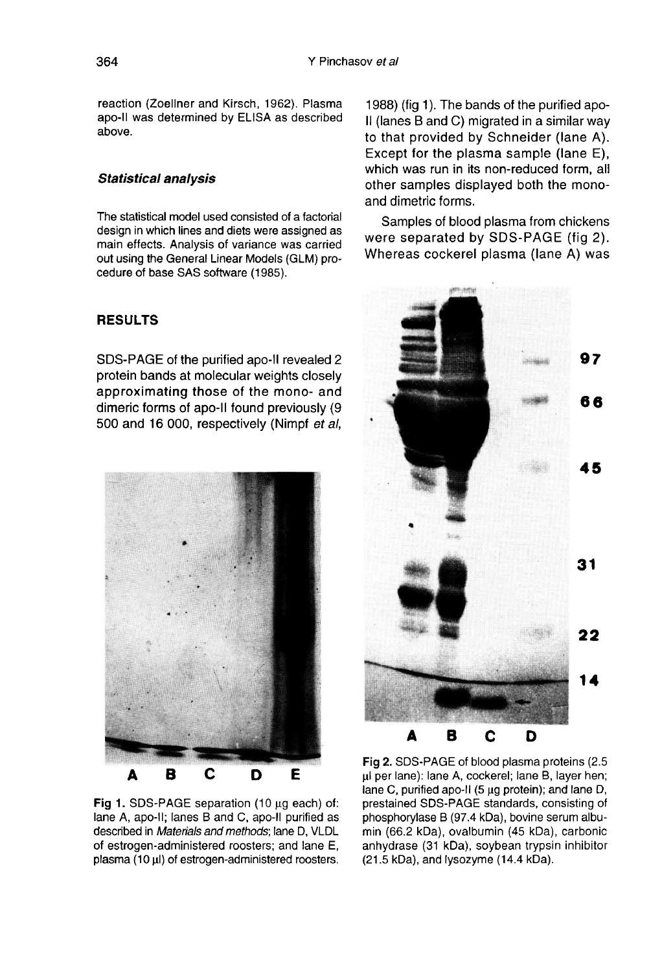reaction (Zoellner and Kirsch, 1962). Plasma apo-il was determined by ELISA as described above.

#### Statistical analysis

The statistical model used consisted of a factorial design in which lines and diets were assigned as main effects. Analysis of variance was carried out using the General Linear Models (GLM) procedure of base SAS software (1985).

### **RESULTS**

SDS-PAGE of the purified apo-II revealed 2 protein bands at molecular weights closely approximating those of the mono- and dimeric forms of apo-II found previously (9) 500 and 16 000, respectively (Nimpf et al,



Fig 1. SDS-PAGE separation (10 µg each) of: lane A, apo-II; lanes B and C, apo-II purified as described in Materials and methods; lane D, VLDL of estrogen-administered roosters; and lane E, plasma (10 µl) of estrogen-administered roosters.

1988) (fig 1). The bands of the purified apo-11 (lanes B and C) migrated in a similar way to that provided by Schneider (lane A). Except for the plasma sample (lane E), which was run in its non-reduced form, all other samples displayed both the monoand dimetric forms.

Samples of blood plasma from chickens were separated by SDS-PAGE (fig 2). Whereas cockerel plasma (lane A) was



Fig 2. SDS-PAGE of blood plasma proteins (2.5) µl per lane): lane A, cockerel; lane B, layer hen; lane C, purified apo-II (5 µg protein); and lane D, prestained SDS-PAGE standards, consisting of phosphorylase B (97.4 kDa), bovine serum albumin (66.2 kDa), ovalbumin (45 kDa), carbonic anhydrase (31 kDa), soybean trypsin inhibitor (21.5 kDa), and lysozyme (14.4 kDa).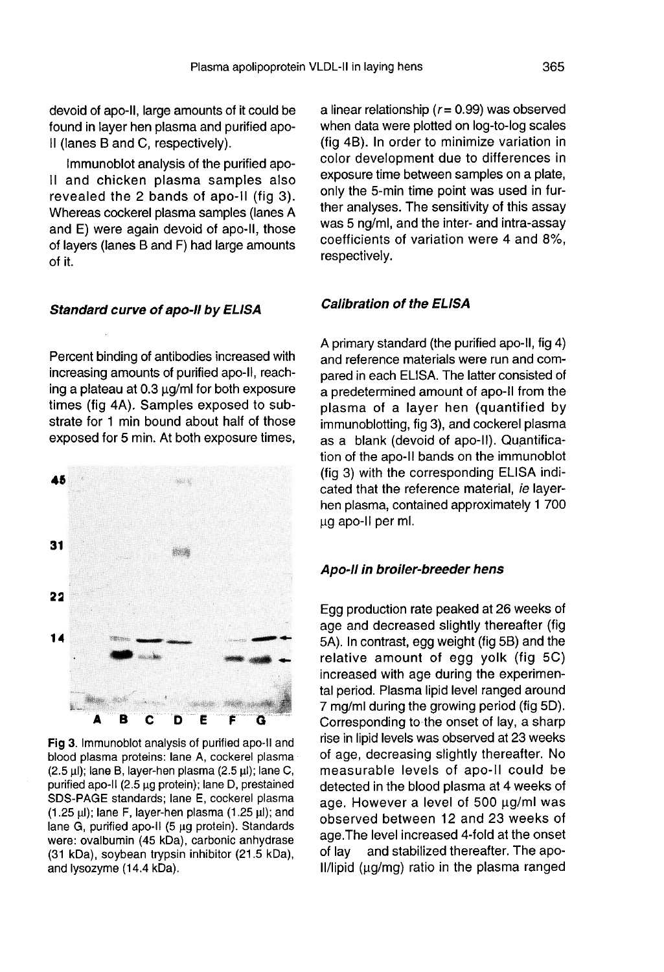Immunoblot analysis of the purified apo-11 and chicken plasma samples also revealed the 2 bands of apo-ii (fig 3). Whereas cockerel plasma samples (lanes A and E) were again devoid of apo-11, those of layers (lanes B and F) had large amounts of it.

#### Standard curve of apo-II by ELISA

Percent binding of antibodies increased with increasing amounts of purified apo-II, reaching a plateau at  $0.3 \mu q$ ml for both exposure times (fig 4A). Samples exposed to substrate for 1 min bound about half of those exposed for 5 min. At both exposure times,



Fig 3. Immunoblot analysis of purified apo-II and blood plasma proteins: lane A, cockerel plasma  $(2.5 \,\mu\text{)}$ ; lane B, layer-hen plasma  $(2.5 \,\mu\text{)}$ ; lane C, purified apo-II (2.5 µg protein); lane D, prestained SDS-PAGE standards; lane E, cockerel plasma  $(1.25 \text{ µ})$ ; lane F, layer-hen plasma  $(1.25 \text{ µ})$ ; and lane G, purified apo-II (5 µg protein). Standards were: ovalbumin (45 kDa), carbonic anhydrase (31 kDa), soybean trypsin inhibitor (21.5 kDa), and lysozyme (14.4 kDa).

a linear relationship ( $r = 0.99$ ) was observed when data were plotted on log-to-log scales (fig 4B). In order to minimize variation in color development due to differences in exposure time between samples on a plate, only the 5-min time point was used in further analyses. The sensitivity of this assay was 5 ng/ml, and the inter- and intra-assay coefficients of variation were 4 and 8%, respectively.

#### Calibration of the ELISA

A primary standard (the purified apo-II, fig 4) and reference materials were run and compared in each ELISA. The latter consisted of a predetermined amount of apo-II from the plasma of a layer hen (quantified by immunoblotting, fig 3), and cockerel plasma as a blank (devoid of apo-11). Quantification of the apo-II bands on the immunoblot (fig 3) with the corresponding ELISA indicated that the reference material, ie layerhen plasma, contained approximately 1 700 ug apo-II per ml.

## Apo-II in broiler-breeder hens

Egg production rate peaked at 26 weeks of age and decreased slightly thereafter (fig 5A). In contrast, egg weight (fig 5B) and the relative amount of egg yolk (fig 5C) increased with age during the experimental period. Plasma lipid level ranged around 7 mg/ml during the growing period (fig 5D). Corresponding to the onset of lay, a sharp rise in lipid levels was observed at 23 weeks of age, decreasing slightly thereafter. No measurable levels of apo-11 could be detected in the blood plasma at 4 weeks of age. However a level of  $500 \mu g/ml$  was observed between 12 and 23 weeks of age. The level increased 4-fold at the onset<br>of lav and stabilized thereafter. The apoand stabilized thereafter. The apo-II/lipid ( $\mu q/mq$ ) ratio in the plasma ranged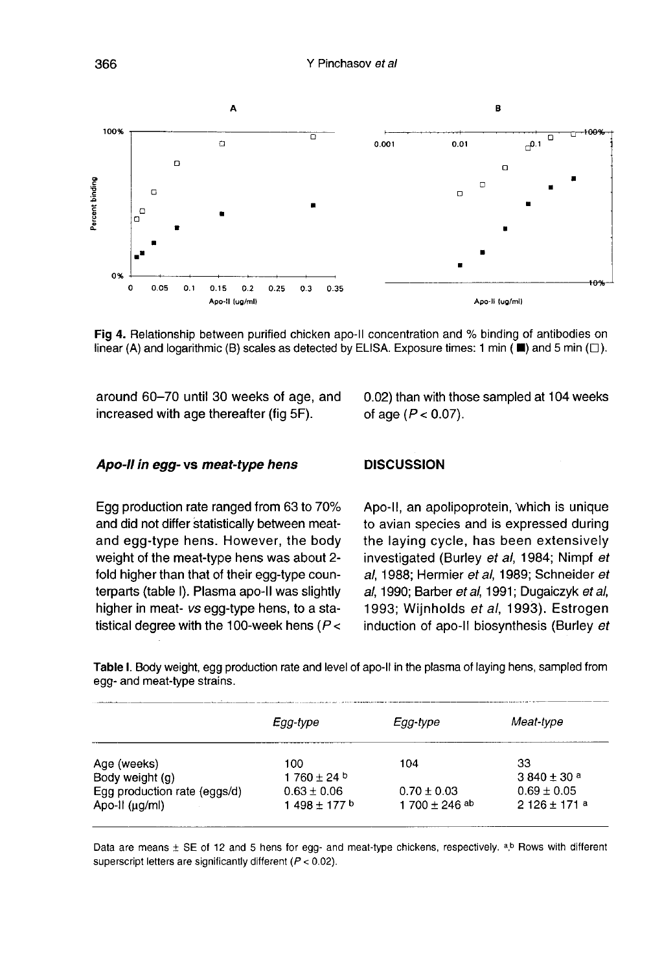

Fig 4. Relationship between purified chicken apo-II concentration and % binding of antibodies on linear (A) and logarithmic (B) scales as detected by ELISA. Exposure times: 1 min ( $\blacksquare$ ) and 5 min ( $\square$ ).

around 60-70 until 30 weeks of age, and increased with age thereafter (fig 5F).

0.02) than with those sampled at 104 weeks of age  $(P < 0.07)$ .

#### Apo-II in egg- vs meat-type hens

Egg production rate ranged from 63 to 70% and did not differ statistically between meatand egg-type hens. However, the body weight of the meat-type hens was about 2 fold higher than that of their egg-type counterparts (table I). Plasma apo-II was slightly higher in meat- vs egg-type hens, to a statistical degree with the 100-week hens ( $P <$ 

## **DISCUSSION**

Apo-II, an apolipoprotein, which is unique to avian species and is expressed during the laying cycle, has been extensively investigated (Burley et al, 1984; Nimpf et al, 1988; Hermier et al, 1989; Schneider et al, 1990; Barber et al, 1991; Dugaiczyk et al, 1993; Wijnholds et al, 1993). Estrogen induction of apo-II biosynthesis (Burley et

Table I. Body weight, egg production rate and level of apo-II in the plasma of laying hens, sampled from egg- and meat-type strains.

|                              | Egg-type          | Egg-type           | Meat-type        |
|------------------------------|-------------------|--------------------|------------------|
| Age (weeks)                  | 100               | 104                | 33               |
| Body weight (g)              | $1760 \pm 24$     |                    | $3.840 \pm 30$ a |
| Egg production rate (eggs/d) | $0.63 \pm 0.06$   | $0.70 \pm 0.03$    | $0.69 \pm 0.05$  |
| Apo-II (µg/ml)               | 1 498 $\pm$ 177 b | 1 700 $\pm$ 246 ab | $2126 \pm 171a$  |

Data are means ± SE of 12 and 5 hens for egg- and meat-type chickens, respectively. a.b Rows with different superscript letters are significantly different ( $P < 0.02$ ).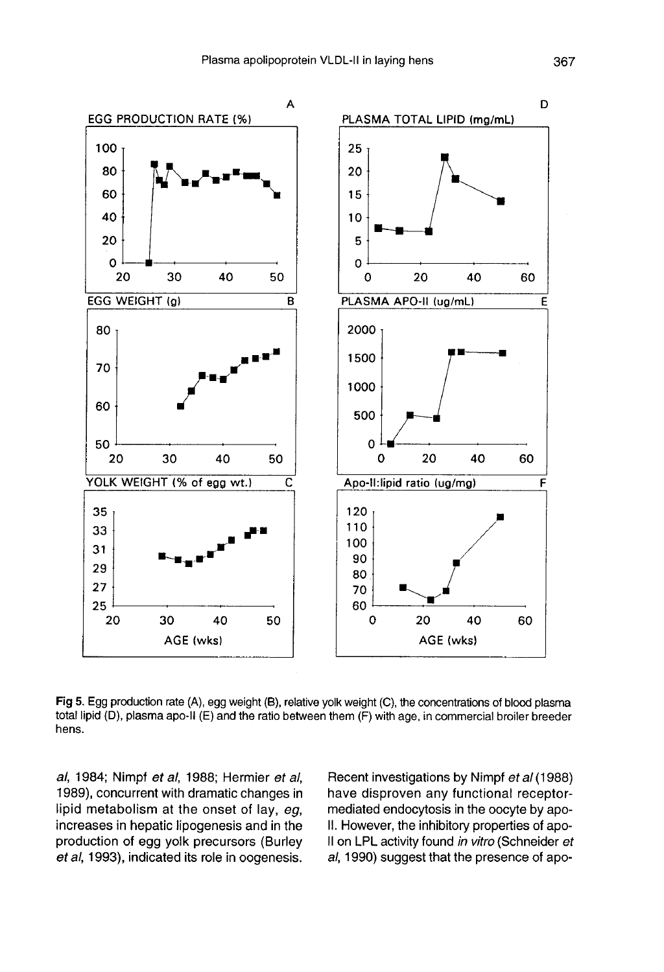

Fig 5. Egg production rate (A), egg weight (B), relative yolk weight (C), the concentrations of blood plasma total lipid (D), plasma apo-II (E) and the ratio between them (F) with age, in commercial broiler breeder hens.

al, 1984; Nimpf et al, 1988; Hermier et al, 1989), concurrent with dramatic changes in lipid metabolism at the onset of lay,  $eq$ , increases in hepatic lipogenesis and in the production of egg yolk precursors (Burley et al, 1993), indicated its role in oogenesis.

Recent investigations by Nimpf et al (1988) have disproven any functional receptormediated endocytosis in the oocyte by apo-II. However, the inhibitory properties of apo-II on LPL activity found in vitro (Schneider et al, 1990) suggest that the presence of apo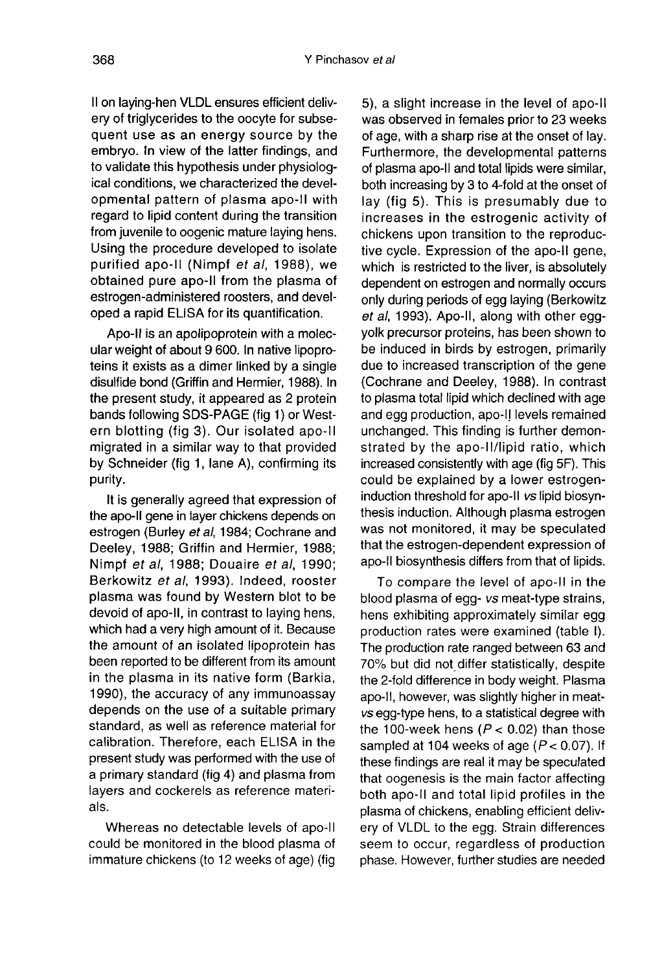II on laying-hen VLDL ensures efficient delivery of triglycerides to the oocyte for subsequent use as an energy source by the embryo. In view of the latter findings, and to validate this hypothesis under physiological conditions, we characterized the developmental pattern of plasma apo-11 with regard to lipid content during the transition from juvenile to oogenic mature laying hens. Using the procedure developed to isolate purified apo-II (Nimpf et al, 1988), we obtained pure apo-11 from the plasma of estrogen-administered roosters, and developed a rapid ELISA for its quantification.

Apo-II is an apolipoprotein with a molecular weight of about 9 600. In native lipoproteins it exists as a dimer linked by a single disulfide bond (Griffin and Hermier, 1988). In the present study, it appeared as 2 protein bands following SDS-PAGE (fig 1) or Western blotting (fig 3). Our isolated apo-II migrated in a similar way to that provided by Schneider (fig 1, lane A), confirming its purity.

It is generally agreed that expression of the apo-II gene in layer chickens depends on estrogen (Burley et al, 1984; Cochrane and Deeley, 1988; Griffin and Hermier, 1988; Nimpf et al, 1988; Douaire et al, 1990; Berkowitz et al, 1993). Indeed, rooster plasma was found by Western blot to be devoid of apo-11, in contrast to laying hens, which had a very high amount of it. Because the amount of an isolated lipoprotein has been reported to be different from its amount in the plasma in its native form (Barkia, 1990), the accuracy of any immunoassay depends on the use of a suitable primary standard, as well as reference material for calibration. Therefore, each ELISA in the present study was performed with the use of a primary standard (fig 4) and plasma from layers and cockerels as reference materials.

Whereas no detectable levels of apo-II 1 could be monitored in the blood plasma of immature chickens (to 12 weeks of age) (fig

5), a slight increase in the level of apo-11 was observed in females prior to 23 weeks of age, with a sharp rise at the onset of lay. Furthermore, the developmental patterns of plasma apo-II and total lipids were similar, both increasing by 3 to 4-fold at the onset of lay (fig 5). This is presumably due to increases in the estrogenic activity of chickens upon transition to the reproductive cycle. Expression of the apo-II gene, which is restricted to the liver, is absolutely dependent on estrogen and normally occurs only during periods of egg laying (Berkowitz et al, 1993). Apo-II, along with other eggyolk precursor proteins, has been shown to be induced in birds by estrogen, primarily due to increased transcription of the gene (Cochrane and Deeley, 1988). In contrast to plasma total lipid which declined with age and egg production, apo-11 levels remained unchanged. This finding is further demonstrated by the apo-II/lipid ratio, which increased consistently with age (fig 5F). This could be explained by a lower estrogeninduction threshold for apo-II vs lipid biosynthesis induction. Although plasma estrogen was not monitored, it may be speculated that the estrogen-dependent expression of apo-II biosynthesis differs from that of lipids.

To compare the level of apo-II in the blood plasma of egg- vs meat-type strains, hens exhibiting approximately similar egg production rates were examined (table I). The production rate ranged between 63 and 70% but did not differ statistically, despite the 2-fold difference in body weight. Plasma apo-11, however, was slightly higher in meatvs egg-type hens, to a statistical degree with the 100-week hens ( $P < 0.02$ ) than those sampled at 104 weeks of age ( $P < 0.07$ ). If these findings are real it may be speculated that oogenesis is the main factor affecting both apo-11 and total lipid profiles in the plasma of chickens, enabling efficient delivery of VLDL to the egg. Strain differences seem to occur, regardless of production phase. However, further studies are needed